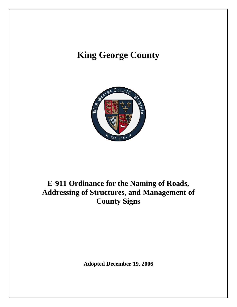# **King George County**



# **E-911 Ordinance for the Naming of Roads, Addressing of Structures, and Management of County Signs**

**Adopted December 19, 2006**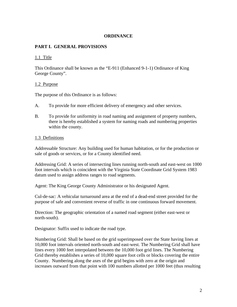#### **ORDINANCE**

#### **PART I. GENERAL PROVISIONS**

#### 1.1 Title

This Ordinance shall be known as the "E-911 (Enhanced 9-1-1) Ordinance of King George County".

#### 1.2 Purpose

The purpose of this Ordinance is as follows:

- A. To provide for more efficient delivery of emergency and other services.
- B. To provide for uniformity in road naming and assignment of property numbers, there is hereby established a system for naming roads and numbering properties within the county.

#### 1.3 Definitions

Addressable Structure: Any building used for human habitation, or for the production or sale of goods or services, or for a County identified need.

Addressing Grid: A series of intersecting lines running north-south and east-west on 1000 foot intervals which is coincident with the Virginia State Coordinate Grid System 1983 datum used to assign address ranges to road segments.

Agent: The King George County Administrator or his designated Agent.

Cul-de-sac: A vehicular turnaround area at the end of a dead-end street provided for the purpose of safe and convenient reverse of traffic in one continuous forward movement.

Direction: The geographic orientation of a named road segment (either east-west or north-south).

Designator: Suffix used to indicate the road type.

Numbering Grid: Shall be based on the grid superimposed over the State having lines at 10,000 foot intervals oriented north-south and east-west. The Numbering Grid shall have lines every 1000 feet interpolated between the 10,000 foot grid lines. The Numbering Grid thereby establishes a series of 10,000 square foot cells or blocks covering the entire County. Numbering along the axes of the grid begins with zero at the origin and increases outward from that point with 100 numbers allotted per 1000 feet (thus resulting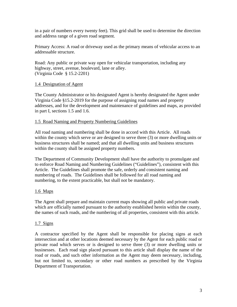in a pair of numbers every twenty feet). This grid shall be used to determine the direction and address range of a given road segment.

Primary Access: A road or driveway used as the primary means of vehicular access to an addressable structure.

Road: Any public or private way open for vehicular transportation, including any highway, street, avenue, boulevard, lane or alley. (Virginia Code § 15.2-2201)

# 1.4 Designation of Agent

The County Administrator or his designated Agent is hereby designated the Agent under Virginia Code §15.2-2019 for the purpose of assigning road names and property addresses, and for the development and maintenance of guidelines and maps, as provided in part I, sections 1.5 and 1.6.

#### 1.5 Road Naming and Property Numbering Guidelines

All road naming and numbering shall be done in accord with this Article. All roads within the county which serve or are designed to serve three (3) or more dwelling units or business structures shall be named; and that all dwelling units and business structures within the county shall be assigned property numbers.

The Department of Community Development shall have the authority to promulgate and to enforce Road Naming and Numbering Guidelines ("Guidelines"), consistent with this Article. The Guidelines shall promote the safe, orderly and consistent naming and numbering of roads. The Guidelines shall be followed for all road naming and numbering, to the extent practicable, but shall not be mandatory.

# 1.6 Maps

The Agent shall prepare and maintain current maps showing all public and private roads which are officially named pursuant to the authority established herein within the county, the names of such roads, and the numbering of all properties, consistent with this article.

#### 1.7 Signs

A contractor specified by the Agent shall be responsible for placing signs at each intersection and at other locations deemed necessary by the Agent for each public road or private road which serves or is designed to serve three (3) or more dwelling units or businesses. Each road sign placed pursuant to this article shall display the name of the road or roads, and such other information as the Agent may deem necessary, including, but not limited to, secondary or other road numbers as prescribed by the Virginia Department of Transportation.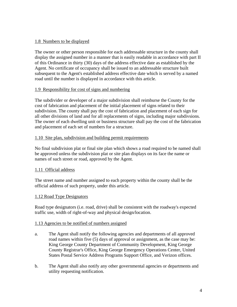# 1.8 Numbers to be displayed

The owner or other person responsible for each addressable structure in the county shall display the assigned number in a manner that is easily readable in accordance with part II of this Ordinance in thirty (30) days of the address effective date as established by the Agent. No certificate of occupancy shall be issued to an addressable structure built subsequent to the Agent's established address effective date which is served by a named road until the number is displayed in accordance with this article.

# 1.9 Responsibility for cost of signs and numbering

The subdivider or developer of a major subdivision shall reimburse the County for the cost of fabrication and placement of the initial placement of signs related to their subdivision. The county shall pay the cost of fabrication and placement of each sign for all other divisions of land and for all replacements of signs, including major subdivsions. The owner of each dwelling unit or business structure shall pay the cost of the fabrication and placement of each set of numbers for a structure.

#### 1.10 Site plan, subdivision and building permit requirements

No final subdivision plat or final site plan which shows a road required to be named shall be approved unless the subdivision plat or site plan displays on its face the name or names of such street or road, approved by the Agent.

# 1.11 Official address

The street name and number assigned to each property within the county shall be the official address of such property, under this article.

# 1.12 Road Type Designators

Road type designators (i.e. road, drive) shall be consistent with the roadway's expected traffic use, width of right-of-way and physical design/location.

#### 1.13 Agencies to be notified of numbers assigned

- a. The Agent shall notify the following agencies and departments of all approved road names within five (5) days of approval or assignment, as the case may be: King George County Department of Community Development, King George County Registrar's Office, King George Emergency Operations Center, United States Postal Service Address Programs Support Office, and Verizon offices.
- b. The Agent shall also notify any other governmental agencies or departments and utility requesting notification.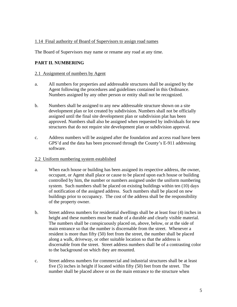# 1.14 Final authority of Board of Supervisors to assign road names

The Board of Supervisors may name or rename any road at any time.

# **PART II. NUMBERING**

#### 2.1 Assignment of numbers by Agent

- a. All numbers for properties and addressable structures shall be assigned by the Agent following the procedures and guidelines contained in this Ordinance. Numbers assigned by any other person or entity shall not be recognized.
- b. Numbers shall be assigned to any new addressable structure shown on a site development plan or lot created by subdivision. Numbers shall not be officially assigned until the final site development plan or subdivision plat has been approved. Numbers shall also be assigned when requested by individuals for new structures that do not require site development plan or subdivision approval.
- c. Address numbers will be assigned after the foundation and access road have been GPS'd and the data has been processed through the County's E-911 addressing software.

# 2.2 Uniform numbering system established

- a. When each house or building has been assigned its respective address, the owner, occupant, or Agent shall place or cause to be placed upon each house or building controlled by him, the number or numbers assigned under the uniform numbering system. Such numbers shall be placed on existing buildings within ten (10) days of notification of the assigned address. Such numbers shall be placed on new buildings prior to occupancy. The cost of the address shall be the responsibility of the property owner.
- b. Street address numbers for residential dwellings shall be at least four (4) inches in height and these numbers must be made of a durable and clearly visible material. The numbers shall be conspicuously placed on, above, below, or at the side of main entrance so that the number is discernable from the street. Whenever a resident is more than fifty (50) feet from the street, the number shall be placed along a walk, driveway, or other suitable location so that the address is discernable from the street. Street address numbers shall be of a contrasting color to the background on which they are mounted.
- c. Street address numbers for commercial and industrial structures shall be at least five (5) inches in height if located within fifty (50) feet from the street. The number shall be placed above or on the main entrance to the structure when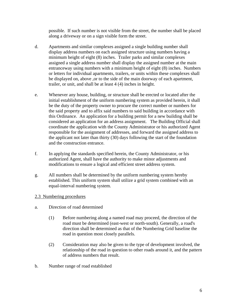possible. If such number is not visible from the street, the number shall be placed along a driveway or on a sign visible form the street.

- d. Apartments and similar complexes assigned a single building number shall display address numbers on each assigned structure using numbers having a minimum height of eight (8) inches. Trailer parks and similar complexes assigned a single address number shall display the assigned number at the main entranceway using numbers with a minimum height of eight (8) inches. Numbers or letters for individual apartments, trailers, or units within these complexes shall be displayed on, above ,or to the side of the main doorway of each apartment, trailer, or unit, and shall be at least 4 (4) inches in height.
- e. Whenever any house, building, or structure shall be erected or located after the initial establishment of the uniform numbering system as provided herein, it shall be the duty of the property owner to procure the correct number or numbers for the said property and to affix said numbers to said building in accordance with this Ordinance. An application for a building permit for a new building shall be considered an application for an address assignment. The Building Official shall coordinate the application with the County Administrator or his authorized Agent responsible for the assignment of addresses, and forward the assigned address to the applicant not later than thirty (30) days following the start of the foundation and the construction entrance.
- f. In applying the standards specified herein, the County Administrator, or his authorized Agent, shall have the authority to make minor adjustments and modifications to ensure a logical and efficient street address system.
- g. All numbers shall be determined by the uniform numbering system hereby established. This uniform system shall utilize a grid system combined with an equal-interval numbering system.

# 2.3 Numbering procedures

- a. Direction of road determined
	- (1) Before numbering along a named road may proceed, the direction of the road must be determined (east-west or north-south). Generally, a road's direction shall be determined as that of the Numbering Grid baseline the road in question most closely parallels.
	- (2) Consideration may also be given to the type of development involved, the relationship of the road in question to other roads around it, and the pattern of address numbers that result.
- b. Number range of road established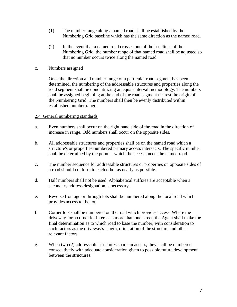- (1) The number range along a named road shall be established by the Numbering Grid baseline which has the same direction as the named road.
- (2) In the event that a named road crosses one of the baselines of the Numbering Grid, the number range of that named road shall be adjusted so that no number occurs twice along the named road.
- c. Numbers assigned

Once the direction and number range of a particular road segment has been determined, the numbering of the addressable structures and properties along the road segment shall be done utilizing an equal-interval methodology. The numbers shall be assigned beginning at the end of the road segment nearest the origin of the Numbering Grid. The numbers shall then be evenly distributed within established number range.

#### 2.4 General numbering standards

- a. Even numbers shall occur on the right hand side of the road in the direction of increase in range. Odd numbers shall occur on the opposite sides.
- b. All addressable structures and properties shall be on the named road which a structure's or properties numbered primary access intersects. The specific number shall be determined by the point at which the access meets the named road.
- c. The number sequence for addressable structures or properties on opposite sides of a road should conform to each other as nearly as possible.
- d. Half numbers shall not be used. Alphabetical suffixes are acceptable when a secondary address designation is necessary.
- e. Reverse frontage or through lots shall be numbered along the local road which provides access to the lot.
- f. Corner lots shall be numbered on the road which provides access. Where the driveway for a corner lot intersects more than one street, the Agent shall make the final determination as to which road to base the number, with consideration to such factors as the driveway's length, orientation of the structure and other relevant factors.
- g. When two (2) addressable structures share an access, they shall be numbered consecutively with adequate consideration given to possible future development between the structures.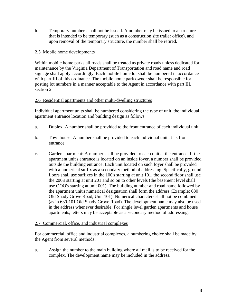h. Temporary numbers shall not be issued. A number may be issued to a structure that is intended to be temporary (such as a construction site trailer office), and upon removal of the temporary structure, the number shall be retired.

# 2.5 Mobile home developments

Within mobile home parks all roads shall be treated as private roads unless dedicated for maintenance by the Virginia Department of Transportation and road name and road signage shall apply accordingly. Each mobile home lot shall be numbered in accordance with part III of this ordinance. The mobile home park owner shall be responsible for posting lot numbers in a manner acceptable to the Agent in accordance with part III, section 2.

# 2.6 Residential apartments and other multi-dwelling structures

Individual apartment units shall be numbered considering the type of unit, the individual apartment entrance location and building design as follows:

- a. Duplex: A number shall be provided to the front entrance of each individual unit.
- b. Townhouse: A number shall be provided to each individual unit at its front entrance.
- c. Garden apartment: A number shall be provided to each unit at the entrance. If the apartment unit's entrance is located on an inside foyer, a number shall be provided outside the building entrance. Each unit located on such foyer shall be provided with a numerical suffix as a secondary method of addressing. Specifically, ground floors shall use suffixes in the 100's starting at unit 101, the second floor shall use the 200's starting at unit 201 and so on to other levels (the basement level shall use OOO's starting at unit 001). The building number and road name followed by the apartment unit's numerical designation shall form the address (Example: 630 Old Shady Grove Road, Unit 101). Numerical characters shall not be combined (as in 630-101 Old Shady Grove Road). The development name may also be used in the address whenever desirable. For single level garden apartments and house apartments, letters may be acceptable as a secondary method of addressing.

#### 2.7 Commercial, office, and industrial complexes

For commercial, office and industrial complexes, a numbering choice shall be made by the Agent from several methods:

a. Assign the number to the main building where all mail is to be received for the complex. The development name may be included in the address.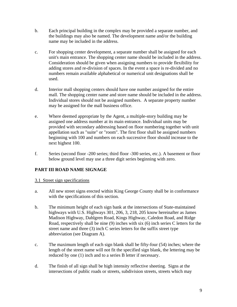- b. Each principal building in the complex may be provided a separate number, and the buildings may also be named. The development name and/or the building name may be included in the address.
- c. For shopping center development, a separate number shall be assigned for each unit's main entrance. The shopping center name should be included in the address. Consideration should be given when assigning numbers to provide flexibility for adding stores and re-division of spaces. In the event a space is re-divided and no numbers remain available alphabetical or numerical unit designations shall be used.
- d. Interior mall shopping centers should have one number assigned for the entire mall. The shopping center name and store name should be included in the address. Individual stores should not be assigned numbers. A separate property number may be assigned for the mall business office.
- e. Where deemed appropriate by the Agent, a multiple-story building may be assigned one address number at its main entrance. Individual units may be provided with secondary addressing based on floor numbering together with unit appellation such as "suite" or "room". The first floor shall be assigned numbers beginning with 100 and numbers on each successive floor should increase to the next highest 100.
- f. Series (second floor -200 series; third floor -300 series, etc.). A basement or floor below ground level may use a three digit series beginning with zero.

# **PART III ROAD NAME SIGNAGE**

- 3.1 Street sign specifications
- a. All new street signs erected within King George County shall be in conformance with the specifications of this section.
- b. The minimum height of each sign bank at the intersections of State-maintained highways with U.S. Highways 301, 206, 3, 218, 205 know hereinafter as James Madison Highway, Dahlgren Road, Kings Highway, Caledon Road, and Ridge Road, respectively shall be nine (9) inches with six (6) inch series C letters for the street name and three (3) inch C series letters for the suffix street type abbreviation (see Diagram A).
- c. The maximum length of each sign blank shall be fifty-four (54) inches; where the length of the street name will not fit the specified sign blank, the lettering may be reduced by one (1) inch and to a series B letter if necessary.
- d. The finish of all sign shall be high intensity reflective sheeting. Signs at the intersections of public roads or streets, subdivision streets, streets which may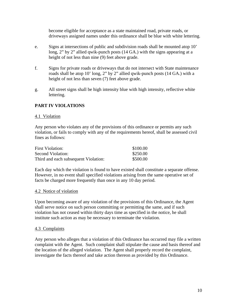become eligible for acceptance as a state maintained road, private roads, or driveways assigned names under this ordinance shall be blue with white lettering.

- e. Signs at intersections of public and subdivision roads shall be mounted atop 10' long, 2" by 2" allied qwik-punch posts (14 GA.) with the signs appearing at a height of not less than nine (9) feet above grade.
- f. Signs for private roads or driveways that do not intersect with State maintenance roads shall be atop 10' long, 2" by 2" allied qwik-punch posts (14 GA.) with a height of not less than seven (7) feet above grade.
- g. All street signs shall be high intensity blue with high intensity, reflective white lettering.

# **PART IV VIOLATIONS**

#### 4.1 Violation

Any person who violates any of the provisions of this ordinance or permits any such violation, or fails to comply with any of the requirements hereof, shall be assessed civil fines as follows:

| <b>First Violation:</b>              | \$100.00 |
|--------------------------------------|----------|
| Second Violation:                    | \$250.00 |
| Third and each subsequent Violation: | \$500.00 |

Each day which the violation is found to have existed shall constitute a separate offense. However, in no event shall specified violations arising from the same operative set of facts be charged more frequently than once in any 10 day period.

#### 4.2 Notice of violation

Upon becoming aware of any violation of the provisions of this Ordinance, the Agent shall serve notice on such person committing or permitting the same, and if such violation has not ceased within thirty days time as specified in the notice, he shall institute such action as may be necessary to terminate the violation.

#### 4.3 Complaints

Any person who alleges that a violation of this Ordinance has occurred may file a written complaint with the Agent. Such complaint shall stipulate the cause and basis thereof and the location of the alleged violation. The Agent shall properly record the complaint, investigate the facts thereof and take action thereon as provided by this Ordinance.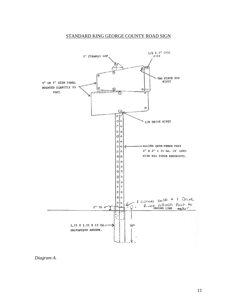# STANDARD KING GEORGE COUNTY ROAD SIGN



*Diagram A.*